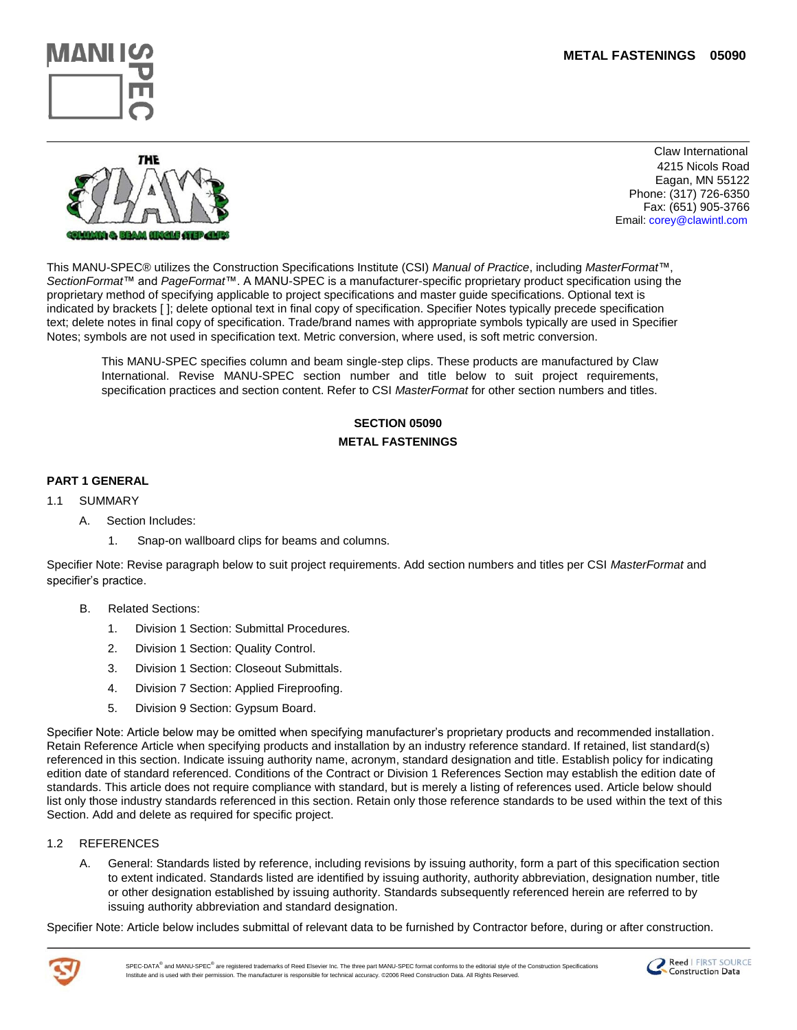



 Claw International 4215 Nicols Road Eagan, MN 55122 Phone: (317) 726-6350 Fax: (651) 905-3766 Email: corey@clawintl.com

This MANU-SPEC® utilizes the Construction Specifications Institute (CSI) *Manual of Practice*, including *MasterFormat*™, *SectionFormat*™ and *PageFormat*™. A MANU-SPEC is a manufacturer-specific proprietary product specification using the proprietary method of specifying applicable to project specifications and master guide specifications. Optional text is indicated by brackets [ ]; delete optional text in final copy of specification. Specifier Notes typically precede specification text; delete notes in final copy of specification. Trade/brand names with appropriate symbols typically are used in Specifier Notes; symbols are not used in specification text. Metric conversion, where used, is soft metric conversion.

This MANU-SPEC specifies column and beam single-step clips. These products are manufactured by Claw International. Revise MANU-SPEC section number and title below to suit project requirements, specification practices and section content. Refer to CSI *MasterFormat* for other section numbers and titles.

# **SECTION 05090 METAL FASTENINGS**

## **PART 1 GENERAL**

- 1.1 SUMMARY
	- A. Section Includes:
		- 1. Snap-on wallboard clips for beams and columns.

Specifier Note: Revise paragraph below to suit project requirements. Add section numbers and titles per CSI *MasterFormat* and specifier's practice.

- B. Related Sections:
	- 1. Division 1 Section: Submittal Procedures.
	- 2. Division 1 Section: Quality Control.
	- 3. Division 1 Section: Closeout Submittals.
	- 4. Division 7 Section: Applied Fireproofing.
	- 5. Division 9 Section: Gypsum Board.

Specifier Note: Article below may be omitted when specifying manufacturer"s proprietary products and recommended installation. Retain Reference Article when specifying products and installation by an industry reference standard. If retained, list standard(s) referenced in this section. Indicate issuing authority name, acronym, standard designation and title. Establish policy for indicating edition date of standard referenced. Conditions of the Contract or Division 1 References Section may establish the edition date of standards. This article does not require compliance with standard, but is merely a listing of references used. Article below should list only those industry standards referenced in this section. Retain only those reference standards to be used within the text of this Section. Add and delete as required for specific project.

## 1.2 REFERENCES

A. General: Standards listed by reference, including revisions by issuing authority, form a part of this specification section to extent indicated. Standards listed are identified by issuing authority, authority abbreviation, designation number, title or other designation established by issuing authority. Standards subsequently referenced herein are referred to by issuing authority abbreviation and standard designation.

Specifier Note: Article below includes submittal of relevant data to be furnished by Contractor before, during or after construction.



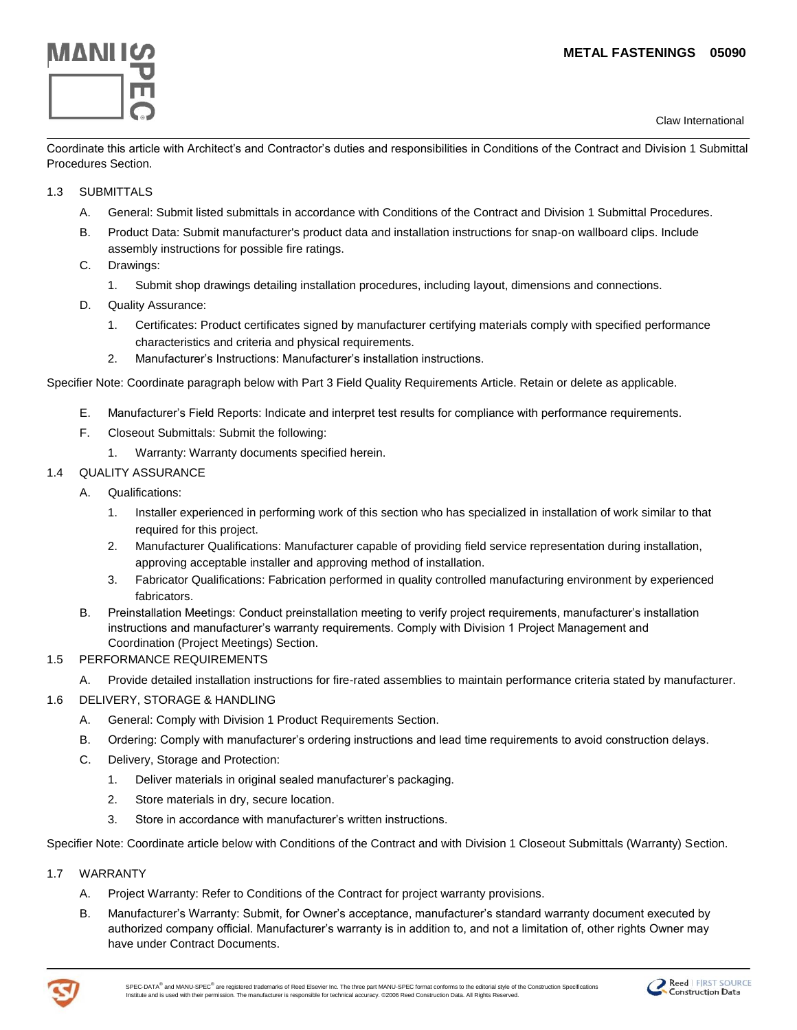

Claw International

Coordinate this article with Architect's and Contractor's duties and responsibilities in Conditions of the Contract and Division 1 Submittal Procedures Section.

## 1.3 SUBMITTALS

- A. General: Submit listed submittals in accordance with Conditions of the Contract and Division 1 Submittal Procedures.
- B. Product Data: Submit manufacturer's product data and installation instructions for snap-on wallboard clips. Include assembly instructions for possible fire ratings.
- C. Drawings:
	- 1. Submit shop drawings detailing installation procedures, including layout, dimensions and connections.
- D. Quality Assurance:
	- 1. Certificates: Product certificates signed by manufacturer certifying materials comply with specified performance characteristics and criteria and physical requirements.
	- 2. Manufacturer"s Instructions: Manufacturer"s installation instructions.

Specifier Note: Coordinate paragraph below with Part 3 Field Quality Requirements Article. Retain or delete as applicable.

- E. Manufacturer"s Field Reports: Indicate and interpret test results for compliance with performance requirements.
- F. Closeout Submittals: Submit the following:
	- 1. Warranty: Warranty documents specified herein.

## 1.4 QUALITY ASSURANCE

- A. Qualifications:
	- 1. Installer experienced in performing work of this section who has specialized in installation of work similar to that required for this project.
	- 2. Manufacturer Qualifications: Manufacturer capable of providing field service representation during installation, approving acceptable installer and approving method of installation.
	- 3. Fabricator Qualifications: Fabrication performed in quality controlled manufacturing environment by experienced **fabricators**
- B. Preinstallation Meetings: Conduct preinstallation meeting to verify project requirements, manufacturer"s installation instructions and manufacturer"s warranty requirements. Comply with Division 1 Project Management and Coordination (Project Meetings) Section.
- 1.5 PERFORMANCE REQUIREMENTS
	- A. Provide detailed installation instructions for fire-rated assemblies to maintain performance criteria stated by manufacturer.
- 1.6 DELIVERY, STORAGE & HANDLING
	- A. General: Comply with Division 1 Product Requirements Section.
	- B. Ordering: Comply with manufacturer"s ordering instructions and lead time requirements to avoid construction delays.
	- C. Delivery, Storage and Protection:
		- 1. Deliver materials in original sealed manufacturer"s packaging.
		- 2. Store materials in dry, secure location.
		- 3. Store in accordance with manufacturer"s written instructions.

Specifier Note: Coordinate article below with Conditions of the Contract and with Division 1 Closeout Submittals (Warranty) Section.

- 1.7 WARRANTY
	- A. Project Warranty: Refer to Conditions of the Contract for project warranty provisions.
	- B. Manufacturer"s Warranty: Submit, for Owner"s acceptance, manufacturer"s standard warranty document executed by authorized company official. Manufacturer"s warranty is in addition to, and not a limitation of, other rights Owner may have under Contract Documents.



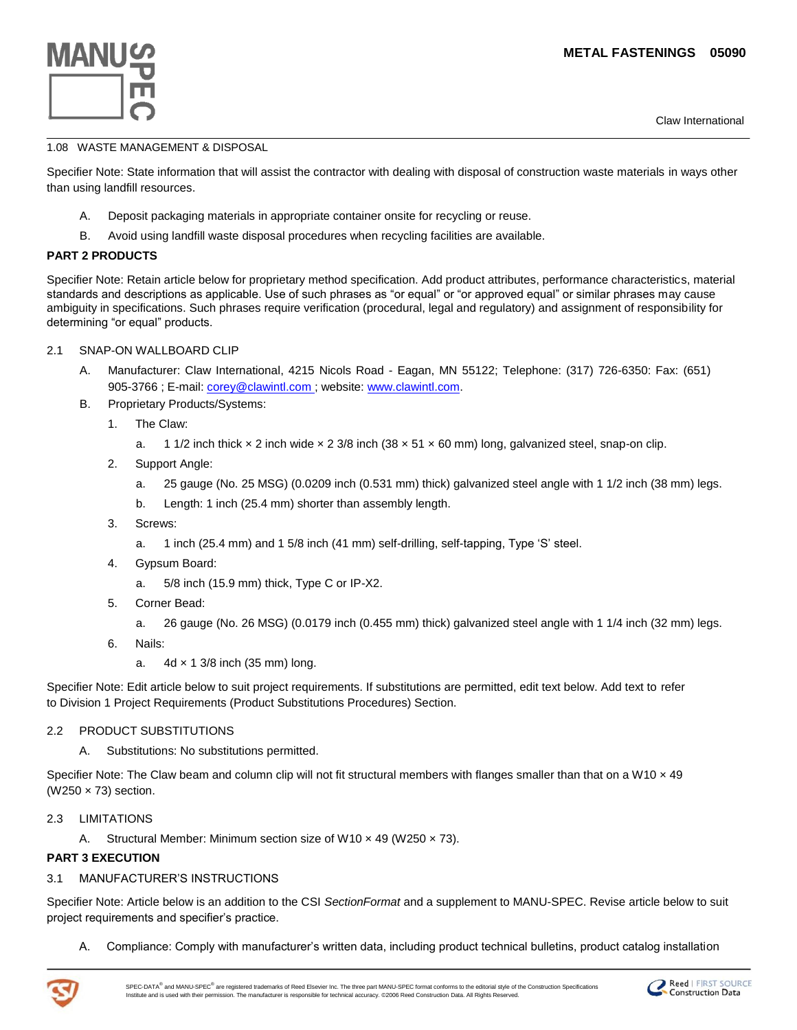Claw International



#### 1.08 WASTE MANAGEMENT & DISPOSAL

Specifier Note: State information that will assist the contractor with dealing with disposal of construction waste materials in ways other than using landfill resources.

- A. Deposit packaging materials in appropriate container onsite for recycling or reuse.
- B. Avoid using landfill waste disposal procedures when recycling facilities are available.

## **PART 2 PRODUCTS**

Specifier Note: Retain article below for proprietary method specification. Add product attributes, performance characteristics, material standards and descriptions as applicable. Use of such phrases as "or equal" or "or approved equal" or similar phrases may cause ambiguity in specifications. Such phrases require verification (procedural, legal and regulatory) and assignment of responsibility for determining "or equal" products.

- 2.1 SNAP-ON WALLBOARD CLIP
	- A. Manufacturer: Claw International, 4215 Nicols Road Eagan, MN 55122; Telephone: (317) 726-6350: Fax: (651) 905-3766 ; E-mail: [corey@clawintl.com](mailto:corey@clawintl.com) ; website: www.clawintl.com.
	- B. Proprietary Products/Systems:
		- 1. The Claw:
			- a. 1 1/2 inch thick  $\times$  2 inch wide  $\times$  2 3/8 inch (38  $\times$  51  $\times$  60 mm) long, galvanized steel, snap-on clip.
		- 2. Support Angle:
			- a. 25 gauge (No. 25 MSG) (0.0209 inch (0.531 mm) thick) galvanized steel angle with 1 1/2 inch (38 mm) legs.
			- b. Length: 1 inch (25.4 mm) shorter than assembly length.
		- 3. Screws:
			- a. 1 inch (25.4 mm) and 1 5/8 inch (41 mm) self-drilling, self-tapping, Type "S" steel.
		- 4. Gypsum Board:
			- a. 5/8 inch (15.9 mm) thick, Type C or IP-X2.
		- 5. Corner Bead:
			- a. 26 gauge (No. 26 MSG) (0.0179 inch (0.455 mm) thick) galvanized steel angle with 1 1/4 inch (32 mm) legs.
		- 6. Nails:
			- a. 4d × 1 3/8 inch (35 mm) long.

Specifier Note: Edit article below to suit project requirements. If substitutions are permitted, edit text below. Add text to refer to Division 1 Project Requirements (Product Substitutions Procedures) Section.

## 2.2 PRODUCT SUBSTITUTIONS

A. Substitutions: No substitutions permitted.

Specifier Note: The Claw beam and column clip will not fit structural members with flanges smaller than that on a W10  $\times$  49 (W250 × 73) section.

- 2.3 LIMITATIONS
	- A. Structural Member: Minimum section size of W10  $\times$  49 (W250  $\times$  73).

#### **PART 3 EXECUTION**

#### 3.1 MANUFACTURER"S INSTRUCTIONS

Specifier Note: Article below is an addition to the CSI *SectionFormat* and a supplement to MANU-SPEC. Revise article below to suit project requirements and specifier"s practice.

A. Compliance: Comply with manufacturer"s written data, including product technical bulletins, product catalog installation